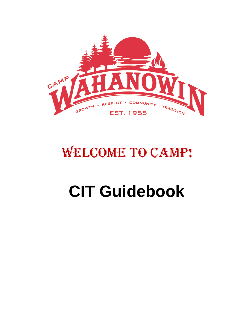

# WELCOME TO CAMP!

# **CIT Guidebook**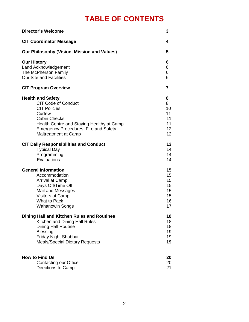# **TABLE OF CONTENTS**

| <b>Director's Welcome</b>                     | 3               |
|-----------------------------------------------|-----------------|
| <b>CIT Coordinator Message</b>                | 4               |
| Our Philosophy (Vision, Mission and Values)   | 5               |
| <b>Our History</b>                            | 6               |
| Land Acknowledgement                          | 6               |
| The McPherson Family                          | 6               |
| <b>Our Site and Facilities</b>                | 6               |
| <b>CIT Program Overview</b>                   | 7               |
| <b>Health and Safety</b>                      | 8               |
| <b>CIT Code of Conduct</b>                    | 8               |
| <b>CIT Policies</b>                           | 10              |
| Curfew                                        | 11              |
| <b>Cabin Checks</b>                           | 11              |
| Health Centre and Staying Healthy at Camp     | 11              |
| <b>Emergency Procedures, Fire and Safety</b>  | 12              |
| Maltreatment at Camp                          | 12 <sup>2</sup> |
| <b>CIT Daily Responsibilities and Conduct</b> | 13              |
| <b>Typical Day</b>                            | 14              |
| Programming                                   | 14              |
| Evaluations                                   | 14              |
| <b>General Information</b>                    | 15              |
| Accommodation                                 | 15              |
| Arrival at Camp                               | 15              |
| Days Off/Time Off                             | 15              |
| Mail and Messages                             | 15              |
| <b>Visitors at Camp</b>                       | 15              |
| <b>What to Pack</b>                           | 16              |
| <b>Wahanowin Songs</b>                        | 17              |
| Dining Hall and Kitchen Rules and Routines    | 18              |
| Kitchen and Dining Hall Rules                 | 18              |
| <b>Dining Hall Routine</b>                    | 18              |
| <b>Blessing</b>                               | 19              |
| <b>Friday Night Shabbat</b>                   | 19              |
| <b>Meals/Special Dietary Requests</b>         | 19              |
| <b>How to Find Us</b>                         | 20              |
| <b>Contacting our Office</b>                  | 20              |
| Directions to Camp                            | 21              |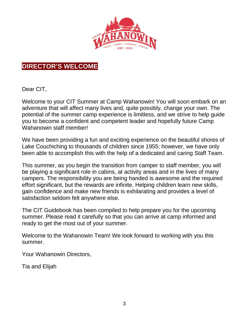

# **DIRECTOR'S WELCOME**

Dear CIT,

Welcome to your CIT Summer at Camp Wahanowin! You will soon embark on an adventure that will affect many lives and, quite possibly, change your own. The potential of the summer camp experience is limitless, and we strive to help guide you to become a confident and competent leader and hopefully future Camp Wahanowin staff member!

We have been providing a fun and exciting experience on the beautiful shores of Lake Couchiching to thousands of children since 1955; however, we have only been able to accomplish this with the help of a dedicated and caring Staff Team.

This summer, as you begin the transition from camper to staff member, you will be playing a significant role in cabins, at activity areas and in the lives of many campers. The responsibility you are being handed is awesome and the required effort significant, but the rewards are infinite. Helping children learn new skills, gain confidence and make new friends is exhilarating and provides a level of satisfaction seldom felt anywhere else.

The CIT Guidebook has been compiled to help prepare you for the upcoming summer. Please read it carefully so that you can arrive at camp informed and ready to get the most out of your summer.

Welcome to the Wahanowin Team! We look forward to working with you this summer.

Your Wahanowin Directors,

Tia and Elijah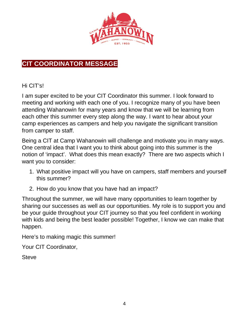

# **CIT COORDINATOR MESSAGE**

### Hi CIT's!

I am super excited to be your CIT Coordinator this summer. I look forward to meeting and working with each one of you. I recognize many of you have been attending Wahanowin for many years and know that we will be learning from each other this summer every step along the way. I want to hear about your camp experiences as campers and help you navigate the significant transition from camper to staff.

Being a CIT at Camp Wahanowin will challenge and motivate you in many ways. One central idea that I want you to think about going into this summer is the notion of 'impact'. What does this mean exactly? There are two aspects which I want you to consider:

- 1. What positive impact will you have on campers, staff members and yourself this summer?
- 2. How do you know that you have had an impact?

Throughout the summer, we will have many opportunities to learn together by sharing our successes as well as our opportunities. My role is to support you and be your guide throughout your CIT journey so that you feel confident in working with kids and being the best leader possible! Together, I know we can make that happen.

Here's to making magic this summer!

Your CIT Coordinator,

**Steve**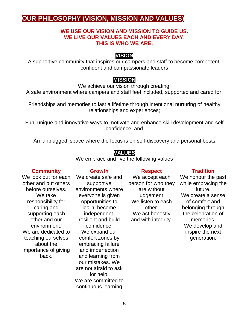# **OUR PHILOSOPHY (VISION, MISSION AND VALUES)**

### **WE USE OUR VISION AND MISSION TO GUIDE US. WE LIVE OUR VALUES EACH AND EVERY DAY. THIS IS WHO WE ARE.**

### **VISION**

A supportive community that inspires our campers and staff to become competent, confident and compassionate leaders

### **MISSION**

We achieve our vision through creating:

A safe environment where campers and staff feel included, supported and cared for;

Friendships and memories to last a lifetime through intentional nurturing of healthy relationships and experiences;

Fun, unique and innovative ways to motivate and enhance skill development and self confidence; and

An 'unplugged' space where the focus is on self-discovery and personal bests

### **VALUES**

We embrace and live the following values

### **Community**

We look out for each other and put others before ourselves. We take responsibility for caring and supporting each other and our environment. We are dedicated to teaching ourselves about the importance of giving back.

We create safe and supportive environments where everyone is given opportunities to learn, become independent, resilient and build confidence. We expand our comfort zones by embracing failure and imperfection and learning from our mistakes. We are not afraid to ask for help. We are committed to continuous learning

**Growth**

We accept each person for who they are without judgement. We listen to each other. We act honestly and with integrity.

**Respect**

### **Tradition**

We honour the past while embracing the future. We create a sense of comfort and belonging through the celebration of memories. We develop and inspire the next generation.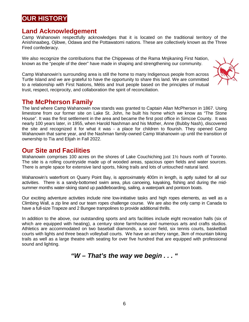# **OUR HISTORY**

### **Land Acknowledgement**

Camp Wahanowin respectfully acknowledges that it is located on the traditional territory of the Anishinaabeg, Ojibwe, Odawa and the Pottawatomi nations. These are collectively known as the Three Fired confederacy.

We also recognize the contributions that the Chippewas of the Rama Mnjikaning First Nation, known as the "people of the deer" have made in shaping and strengthening our community.

Camp Wahanowin's surrounding area is still the home to many Indigenous people from across Turtle Island and we are grateful to have the opportunity to share this land. We are committed to a relationship with First Nations, Métis and Inuit people based on the principles of mutual trust, respect, reciprocity, and collaboration the spirit of reconciliation.



### **The McPherson Family**

The land where Camp Wahanowin now stands was granted to Captain Allan McPherson in 1867. Using limestone from our former site on Lake St. John, he built his home which we know as "The Stone House". It was the first settlement in the area and became the first post office in Simcoe County. It was nearly 100 years later, in 1955, when Harold Nashman and his Mother, Anne (Bubby Nash), discovered the site and recognized it for what it was - a place for children to flourish. They opened Camp Wahanowin that same year, and the Nashman family-owned Camp Wahanowin up until the transition of ownership to Tia and Elijah in Fall 2022.

### **Our Site and Facilities**

Wahanowin comprises 100 acres on the shores of Lake Couchiching just 1<sup>1</sup>/<sub>2</sub> hours north of Toronto. The site is a rolling countryside made up of wooded areas, spacious open fields and water sources. There is ample space for extensive land sports, hiking trails and lots of untouched natural land.

Wahanowin's waterfront on Quarry Point Bay, is approximately 400m in length, is aptly suited for all our activities. There is a sandy-bottomed swim area, plus canoeing, kayaking, fishing and during the midsummer months water-skiing stand up paddleboarding, sailing, a waterpark and pontoon boats.

Our exciting adventure activities include nine low-initiative tasks and high ropes elements, as well as a Climbing Wall, a zip line and our team ropes challenge course. We are also the only camp in Canada to have a full-size Trapeze and 2 Bungee trampolines to provide additional thrills.

In addition to the above, our outstanding sports and arts facilities include eight recreation halls (six of which are equipped with heating), a century stone farmhouse and numerous arts and crafts studios. Athletics are accommodated on two baseball diamonds, a soccer field, six tennis courts, basketball courts with lights and three beach volleyball courts. We have an archery range, 3km of mountain biking trails as well as a large theatre with seating for over five hundred that are equipped with professional sound and lighting.

*"W – That's the way we begin . . . "*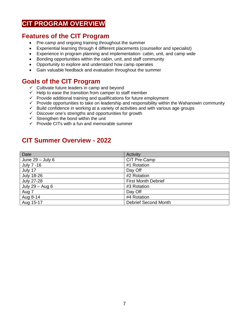# **CIT PROGRAM OVERVIEW**

### **Features of the CIT Program**

- Pre-camp and ongoing training throughout the summer
- Experiential learning through 4 different placements (counsellor and specialist)
- Experience in program planning and implementation- cabin, unit, and camp wide
- Bonding opportunities within the cabin, unit, and staff community
- Opportunity to explore and understand how camp operates
- Gain valuable feedback and evaluation throughout the summer

### **Goals of the CIT Program**

- $\checkmark$  Cultivate future leaders in camp and bevond
- $\checkmark$  Help to ease the transition from camper to staff member
- $\checkmark$  Provide additional training and qualifications for future employment
- $\checkmark$  Provide opportunities to take on leadership and responsibility within the Wahanowin community
- $\checkmark$  Build confidence in working at a variety of activities and with various age groups
- $\checkmark$  Discover one's strengths and opportunities for growth
- $\checkmark$  Strengthen the bond within the unit
- $\checkmark$  Provide CITs with a fun and memorable summer

# **CIT Summer Overview - 2022**

| Date               | Activity                    |
|--------------------|-----------------------------|
| June $29 -$ July 6 | CIT Pre-Camp                |
| July 7 -16         | #1 Rotation                 |
| July 17            | Day Off                     |
| <b>July 18-26</b>  | #2 Rotation                 |
| <b>July 27-28</b>  | <b>First Month Debrief</b>  |
| July 29 - Aug 6    | #3 Rotation                 |
| Aug 7              | Day Off                     |
| Aug 8-14           | #4 Rotation                 |
| Aug 15-17          | <b>Debrief Second Month</b> |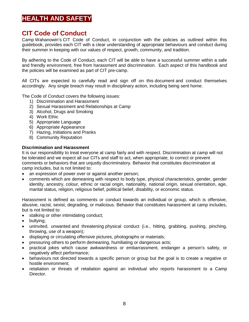# **HEALTH AND SAFETY**

### **CIT Code of Conduct**

Camp Wahanowin's CIT Code of Conduct, in conjunction with the policies as outlined within this guidebook, provides each CIT with a clear understanding of appropriate behaviours and conduct during their summer in keeping with our values of respect, growth, community, and tradition.

By adhering to the Code of Conduct, each CIT will be able to have a successful summer within a safe and friendly environment, free from harassment and discrimination. Each aspect of this handbook and the policies will be examined as part of CIT pre-camp.

All CITs are expected to carefully read and sign off on this document and conduct themselves accordingly. Any single breach may result in disciplinary action, including being sent home.

The Code of Conduct covers the following issues:

- 1) Discrimination and Harassment
- 2) Sexual Harassment and Relationships at Camp
- 3) Alcohol, Drugs and Smoking
- 4) Work Ethic
- 5) Appropriate Language
- 6) Appropriate Appearance
- 7) Hazing, Initiations and Pranks
- 8) Community Reputation

#### **Discrimination and Harassment**

It is our responsibility to treat everyone at camp fairly and with respect. Discrimination at camp will not be tolerated and we expect all our CITs and staff to act, when appropriate, to correct or prevent comments or behaviors that are unjustly discriminatory. Behavior that constitutes discrimination at camp includes, but is not limited to:

- an expression of power over or against another person;
- comments which are demeaning with respect to body type, physical characteristics, gender, gender identity, ancestry, colour, ethnic or racial origin, nationality, national origin, sexual orientation, age, marital status, religion, religious belief, political belief, disability, or economic status.

Harassment is defined as comments or conduct towards an individual or group, which is offensive, abusive, racist, sexist, degrading, or malicious. Behavior that constitutes harassment at camp includes, but is not limited to:

- stalking or other intimidating conduct;
- bullying;
- uninvited, unwanted and threatening physical conduct (i.e., hitting, grabbing, pushing, pinching, throwing, use of a weapon);
- displaying or circulating offensive pictures, photographs or materials;
- pressuring others to perform demeaning, humiliating or dangerous acts;
- practical jokes which cause awkwardness or embarrassment, endanger a person's safety, or negatively affect performance;
- behaviours not directed towards a specific person or group but the goal is to create a negative or hostile environment;
- retaliation or threats of retaliation against an individual who reports harassment to a Camp Director.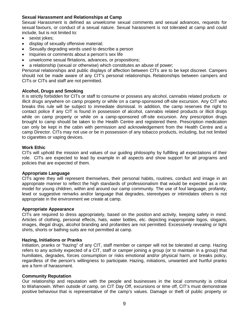### **Sexual Harassment and Relationships at Camp**

Sexual Harassment is defined as unwelcome sexual comments and sexual advances, requests for sexual favours, or conduct of a sexual nature. Sexual harassment is not tolerated at camp and could include, but is not limited to:

- sexist jokes;
- display of sexually offensive material;
- Sexually degrading words used to describe a person
- Inquiries or comments about a person's sex life
- unwelcome sexual flirtations, advances, or propositions;
- a relationship (sexual or otherwise) which constitutes an abuse of power;

Personal relationships and public displays of affection between CITs are to be kept discreet. Campers should not be made aware of any CIT's personal relationships. Relationships between campers and CITs or CITs and staff are not permitted.

#### **Alcohol, Drugs and Smoking**

It is strictly forbidden for CITs or staff to consume or possess any alcohol, cannabis related products or illicit drugs anywhere on camp property or while on a camp-sponsored off-site excursion. Any CIT who breaks this rule will be subject to immediate dismissal. In addition, the camp reserves the right to contact police if any CIT is found in possession of alcohol, cannabis related products or illicit drugs while on camp property or while on a camp-sponsored off-site excursion. Any prescription drugs brought to camp should be taken to the Health Centre and registered there. Prescription medication can only be kept in the cabin with permission and acknowledgement from the Health Centre and a camp Director. CITs may not use or be in possession of any tobacco products, including, but not limited to cigarettes or vaping devices.

#### **Work Ethic**

CITs will uphold the mission and values of our guiding philosophy by fulfilling all expectations of their role. CITs are expected to lead by example in all aspects and show support for all programs and policies that are expected of them.

#### **Appropriate Language**

CITs agree they will represent themselves, their personal habits, routines, conduct and image in an appropriate manner to reflect the high standards of professionalism that would be expected as a role model for young children, within and around our camp community. The use of foul language, profanity, lewd or suggestive remarks and/or language that degrades, stereotypes or intimidates others is not appropriate in the environment we create at camp.

#### **Appropriate Appearance**

CITs are required to dress appropriately, based on the position and activity, keeping safety in mind. Articles of clothing, personal effects, hats, water bottles, etc. depicting inappropriate logos, slogans, images, illegal drugs, alcohol branding and profanities are not permitted. Excessively revealing or tight shirts, shorts or bathing suits are not permitted at camp.

#### **Hazing, Initiations or Pranks**

Initiation, pranks or "hazing" of any CIT, staff member or camper will not be tolerated at camp. Hazing refers to any activity expected of a CIT, staff or camper joining a group (or to maintain in a group) that humiliates, degrades, forces consumption or risks emotional and/or physical harm, or breaks policy, regardless of the person's willingness to participate. Hazing, initiations, unwanted and hurtful pranks are a form of harassment.

#### **Community Reputation**

Our relationship and reputation with the people and businesses in the local community is critical to Wahanowin. When outside of camp, on CIT Day Off, excursions or time off, CIT's must demonstrate positive behaviour that is representative of the camp's values. Damage or theft of public property or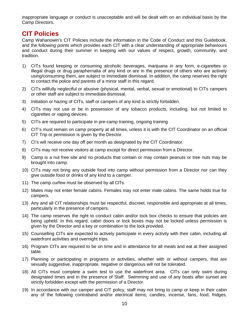inappropriate language or conduct is unacceptable and will be dealt with on an individual basis by the Camp Directors.

### **CIT Policies**

Camp Wahanowin's CIT Policies include the information in the Code of Conduct and this Guidebook, and the following points which provides each CIT with a clear understanding of appropriate behaviours and conduct during their summer in keeping with our values of respect, growth, community, and tradition.

- 1) CITs found keeping or consuming alcoholic beverages, marijuana in any form, e-cigarettes or illegal drugs or drug paraphernalia of any kind or are in the presence of others who are actively using/consuming them, are subject to immediate dismissal. In addition, the camp reserves the right to contact the police and parents of a minor staff in this regard.
- 2) CITs willfully neglectful or abusive (physical, mental, verbal, sexual or emotional) to CITs campers or other staff are subject to immediatedismissal.
- 3) Initiation or hazing of CITs, staff or campers of any kind is strictly forbidden.
- 4) CITs may not use or be in possession of any tobacco products, including, but not limited to cigarettes or vaping devices.
- 5) CITs are required to participate in pre-camp training, ongoing training
- 6) CIT's must remain on camp property at all times, unless it is with the CIT Coordinator on an official CIT Trip or permission is given by the Director.
- 7) CI's will receive one day off per month as designated by the CIT Coordinator.
- 8) CITs may not receive visitors at camp except for direct permission from a Director.
- 9) Camp is a nut free site and no products that contain or may contain peanuts or tree nuts may be brought into camp.
- 10) CITs may not bring any outside food into camp without permission from a Director nor can they give outside food or drinks of any kind to a camper.
- 11) The camp curfew must be observed by all CITs.
- 12) Males may not enter female cabins. Females may not enter male cabins. The same holds true for campers.
- 13) Any and all CIT relationships must be respectful, discreet, responsible and appropriate at all times, particularly in the presence of campers.
- 14) The camp reserves the right to conduct cabin and/or lock box checks to ensure that policies are being upheld. In this regard, cabin doors or lock boxes may not be locked unless permission is given by the Director and a key or combination to the lock provided.
- 15) Counselling CITs are expected to actively participate in every activity with their cabin, including all waterfront activities and overnight trips.
- 16) Program CITs are required to be on time and in attendance for all meals and eat at their assigned table.
- 17) Planning or participating in programs or activities, whether with or without campers, that are sexually suggestive, inappropriate, negative or dangerous will not be tolerated.
- 18) All CITs must complete a swim test to use the waterfront area. CITs can only swim during designated times and in the presence of Staff. Swimming and use of any boats after sunset are strictly forbidden except with the permission of a Director.
- 19) In accordance with our camper and CIT policy, staff may not bring to camp or keep in their cabin any of the following contraband and/or electrical items; candles, incense, fans, food, fridges,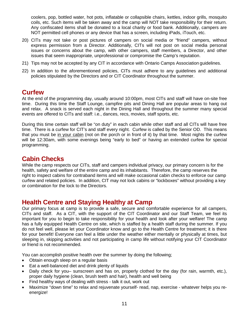coolers, pop, bottled water, hot pots, inflatable or collapsible chairs, kettles, indoor grills, mosquito coils, etc. Such items will be taken away and the camp will NOT take responsibility for their return. Any confiscated items shall be donated to a local charity or food bank. Additionally, campers are NOT permitted cell phones or any device that has a screen, including iPads, iTouch, etc.

- 20) CITs may not take or post pictures of campers on social media or "friend" campers, without express permission from a Director. Additionally, CITs will not post on social media personal issues or concerns about the camp, with other campers, staff members, a Director, and other issues that seem inappropriate, unprofessional or compromise the Camp's reputation.
- 21) Tips may not be accepted by any CIT in accordance with Ontario Camps Association guidelines.
- 22) In addition to the aforementioned policies, CITs must adhere to any guidelines and additional policies stipulated by the Directors and or CIT Coordinator throughout the summer.

# **Curfew**

At the end of the programming day, usually around 10:00pm, most CITs and staff will have on-site free time. During this time the Staff Lounge, campfire pits and Dining Hall are popular areas to hang out and relax. A snack is served each night in the Dining Hall and throughout the summer many special events are offered to CITs and staff: i.e., dances, recs, movies, staff sports, etc.

During this time certain staff will be "on duty" in each cabin while other staff and all CITs will have free time. There is a curfew for CIT's and staff every night. Curfew is called by the Senior OD. This means that you must be in your cabin (not on the porch or in front of it) by that time. Most nights the curfew will be 12:30am, with some evenings being "early to bed" or having an extended curfew for special programming.

# **Cabin Checks**

While the camp respects our CITs, staff and campers individual privacy, our primary concern is for the health, safety and welfare of the entire camp and its inhabitants. Therefore, the camp reserves the right to inspect cabins for contraband items and will make occasional cabin checks to enforce our camp curfew and related policies. In addition, CIT may not lock cabins or "lockboxes" without providing a key or combination for the lock to the Directors.

### **Health Centre and Staying Healthy at Camp**

Our primary focus at camp is to provide a safe, secure and comfortable experience for all campers, CITs and staff. As a CIT, with the support of the CIT Coordinator and our Staff Team, we feel its important for you to begin to take responsibility for your health and look after your welfare! The camp has a fully equipped Health Centre on site, which is staffed by a health staff during the summer. If you do not feel well, please let your Coordinator know and go to the Health Centre for treatment; it is there for your benefit! Everyone can feel a little under the weather either mentally or physically at times, but sleeping in, skipping activities and not participating in camp life without notifying your CIT Coordinator or friend is not recommended.

You can accomplish positive health over the summer by doing the following;

- Obtain enough sleep on a regular basis
- Eat a well-balanced diet and drink plenty of liquids
- Daily check for you– sunscreen and has on, properly clothed for the day (for rain, warmth, etc.), proper daily hygiene (clean, brush teeth and hair), health and well being
- Find healthy ways of dealing with stress talk it out, work out
- Maximize "down time" to relax and rejuvenate yourself- read, nap, exercise whatever helps you reenergize!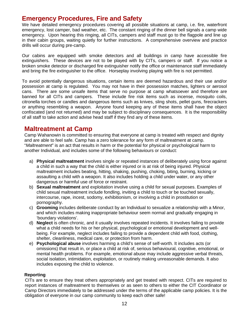### **Emergency Procedures, Fire and Safety**

We have detailed emergency procedures covering all possible situations at camp, i.e. fire, waterfront emergency, lost camper, bad weather, etc. The constant ringing of the dinner bell signals a camp wide emergency. Upon hearing this ringing, all CITs, campers and staff must go to the flagpole and line up in their cabin groups, waiting quietly for further instructions. A comprehensive overview and practice drills will occur during pre-camp.

Our cabins are equipped with smoke detectors and all buildings in camp have accessible fire extinguishers. These devices are not to be played with by CITs, campers or staff. If you notice a broken smoke detector or discharged fire extinguisher notify the office or maintenance staff immediately and bring the fire extinguisher to the office. Horseplay involving playing with fire is not permitted.

To avoid potentially dangerous situations, certain items are deemed hazardous and their use and/or possession at camp is regulated. You may not have in their possession matches, lighters or aerosol cans. There are some unsafe items that serve no purpose at camp whatsoever and therefore are banned for all CITs and campers. These include fire risk items such as incense, mosquito coils, citronella torches or candles and dangerous items such as knives, sling shots, pellet guns, firecrackers or anything resembling a weapon. Anyone found keeping any of these items shall have the object confiscated (and not returned) and may be subject to disciplinary consequences. It is the responsibility of all staff to take action and advise head staff if they find any of these items.

### **Maltreatment at Camp**

Camp Wahanowin is committed to ensuring that everyone at camp is treated with respect and dignity and are able to feel safe. Camp has a zero tolerance for any form of maltreatment at camp. "*Maltreatment*" is an act that results in harm or the potential for physical or psychological harm to another Individual, and includes some of the following behaviours or conduct:

- a) **Physical maltreatment** involves single or repeated instances of deliberately using force against a child in such a way that the child is either injured or is at risk of being injured. Physical maltreatment includes beating, hitting, shaking, pushing, choking, biting, burning, kicking or assaulting a child with a weapon. It also includes holding a child under water, or any other dangerous or harmful use of force or restraint.
- b) **Sexual maltreatment** and exploitation involve using a child for sexual purposes. Examples of child sexual maltreatment include fondling, inviting a child to touch or be touched sexually, intercourse, rape, incest, sodomy, exhibitionism, or involving a child in prostitution or pornography.
- c) **Grooming** includes deliberate conduct by an Individual to sexualize a relationship with a Minor, and which includes making inappropriate behaviour seem normal and gradually engaging in 'boundary violations'.
- d) **Neglect** is often chronic, and it usually involves repeated incidents. It involves failing to provide what a child needs for his or her physical, psychological or emotional development and wellbeing. For example, neglect includes failing to provide a dependent child with food, clothing, shelter, cleanliness, medical care, or protection from harm.
- e) **Psychological abuse** involves harming a child's sense of self-worth. It includes acts (or omissions) that result in, or place a child at risk of, serious behavioural, cognitive, emotional, or mental health problems. For example, emotional abuse may include aggressive verbal threats, social isolation, intimidation, exploitation, or routinely making unreasonable demands. It also includes exposing the child to violence.

### **Reporting**

 CITs are to ensure they treat others appropriately and get treated with respect. CITs are required to report instances of maltreatment to themselves or as seen to others to either the CIT Coordinator or Camp Directors immediately to be addressed under the terms of the applicable camp policies. It is the obligation of everyone in our camp community to keep each other safe!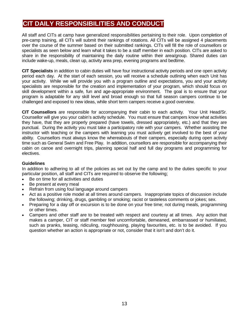# **CIT DAILY RESPONSIBILITIES AND CONDUCT**

All staff and CITs at camp have generalized responsibilities pertaining to their role. Upon completion of pre-camp training, all CITs will submit their rankings of rotations. All CITs will be assigned 4 placements over the course of the summer based on their submitted rankings. CITs will fill the role of counsellors or specialists as seen below and learn what it takes to be a staff member in each position. CITs are asked to share in the responsibility of maintaining the daily routine within their area/group. Shared duties can include wake-up, meals, clean up, activity area prep, evening programs and bedtime.

**CIT Specialists** in addition to cabin duties will have four instructional activity periods and one open activity period each day. At the start of each session, you will receive a schedule outlining when each Unit has your activity. While we will provide you with a program outline and expectations, you and your activity specialists are responsible for the creation and implementation of your program, which should focus on skill development within a safe, fun and age-appropriate environment. The goal is to ensure that your program is adaptable for any skill level and broad enough so that full season campers continue to be challenged and exposed to new ideas, while short term campers receive a good overview.

**CIT Counsellors** are responsible for accompanying their cabin to each activity. Your Unit Head/Sr. Counsellor will give you your cabin's activity schedule. You must ensure that campers know what activities they have, that they are properly prepared (have towels, dressed appropriately, etc.) and that they are punctual. During the activity you must take a participatory role with your campers. Whether assisting the instructor with teaching or the campers with learning you must actively get involved to the best of your ability. Counsellors must always know the whereabouts of their campers, especially during open activity time such as General Swim and Free Play. In addition, counsellors are responsible for accompanying their cabin on canoe and overnight trips, planning special half and full day programs and programming for electives.

### **Guidelines**

In addition to adhering to all of the policies as set out by the camp and to the duties specific to your particular position, all staff and CITs are required to observe the following;

- Be on time for all activities and duties
- Be present at every meal
- Refrain from using foul language around campers
- Act as a positive role model at all times around campers. Inappropriate topics of discussion include the following; drinking, drugs, gambling or smoking; racist or tasteless comments or jokes; sex.
- Preparing for a day off or excursion is to be done on your free time; not during meals, programming or other times.
- Campers and other staff are to be treated with respect and courtesy at all times. Any action that makes a camper, CIT or staff member feel uncomfortable, demeaned, embarrassed or humiliated, such as pranks, teasing, ridiculing, roughhousing, playing favourites, etc. is to be avoided. If you question whether an action is appropriate or not, consider that it isn't and don't do it.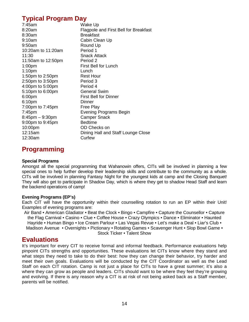# **Typical Program Day**

| 7:45am             | Wake Up                               |
|--------------------|---------------------------------------|
| 8:20am             | Flagpole and First Bell for Breakfast |
| 8:30am             | <b>Breakfast</b>                      |
| 9:10am             | Cabin Clean Up                        |
| 9:50am             | Round Up                              |
| 10:20am to 11:20am | Period 1                              |
| 11:30              | <b>Snack Attack</b>                   |
| 11:50am to 12:50pm | Period 2                              |
| 1:00 <sub>pm</sub> | <b>First Bell for Lunch</b>           |
| 1:10 <sub>pm</sub> | Lunch                                 |
| 1:50pm to 2:50pm   | <b>Rest Hour</b>                      |
| 2:50pm to 3:50pm   | Period 3                              |
| 4:00pm to 5:00pm   | Period 4                              |
| 5:10pm to 6:00pm   | <b>General Swim</b>                   |
| 6:00pm             | <b>First Bell for Dinner</b>          |
| 6:10pm             | Dinner                                |
| 7:00pm to 7:45pm   | Free Play                             |
| 7:45pm             | Evening Programs Begin                |
| 8:45pm - 9:30pm    | <b>Camper Snack</b>                   |
| 9:00pm to 9:45pm   | <b>Bedtime</b>                        |
| 10:00pm            | OD Checks on                          |
| 12:15am            | Dining Hall and Staff Lounge Close    |
| 12:30am            | Curfew                                |
|                    |                                       |

# **Programming**

### **Special Programs**

Amongst all the special programming that Wahanowin offers, CITs will be involved in planning a few special ones to help further develop their leadership skills and contribute to the community as a whole. CITs will be involved in planning Fantasy Night for the youngest kids at camp and the Closing Banquet! They will also get to participate in Shadow Day, which is where they get to shadow Head Staff and learn the backend operations of camp!

### **Evening Programs (EP's)**

Each CIT will have the opportunity within their counselling rotation to run an EP within their Unit! Examples of evening programs are:

Air Band • American Gladiator • Beat the Clock • Bingo • Campfire • Capture the Counsellor • Capture the Flag Carnival • Casino • Clue • Coffee House • Crazy Olympics • Dance • Eliminator • Haunted Hayride • Human Bingo • Ice Cream Parlour • Las Vegas Revue • Let's make a Deal • Liar's Club • Madison Avenue • Overnights • Pictionary • Rotating Games • Scavenger Hunt • Slop Bowl Game • Stock Ticker • Talent Show

### **Evaluations**

It's important for every CIT to receive formal and informal feedback. Performance evaluations help pinpoint CITs strengths and opportunities. These evaluations let CITs know where they stand and what steps they need to take to do their best: how they can change their behavior, try harder and meet their own goals. Evaluations will be conducted by the CIT Coordinator as well as the Lead Staff on each CIT rotation. Camp is not just a place for CITs to have a great summer; it's also a where they can grow as people and leaders. CITs should want to be where they feel they're growing and evolving. If there is any reason why a CIT is at risk of not being asked back as a Staff member, parents will be notified.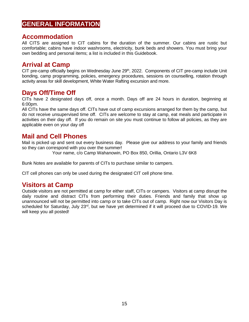# **GENERAL INFORMATION**

### **Accommodation**

All CITS are assigned to CIT cabins for the duration of the summer. Our cabins are rustic but comfortable; cabins have indoor washrooms, electricity, bunk beds and showers. You must bring your own bedding and personal items; a list is included in this Guidebook.

## **Arrival at Camp**

CIT pre-camp officially begins on Wednesday June 29<sup>th</sup>, 2022. Components of CIT pre-camp include Unit bonding, camp programming, policies, emergency procedures, sessions on counselling, rotation through activity areas for skill development, White Water Rafting excursion and more.

### **Days Off/Time Off**

CITs have 2 designated days off, once a month. Days off are 24 hours in duration, beginning at 6:00pm.

All CITs have the same days off. CITs have out of camp excursions arranged for them by the camp, but do not receive unsupervised time off. CITs are welcome to stay at camp, eat meals and participate in activities on their day off. If you do remain on site you must continue to follow all policies, as they are applicable even on your day off

### **Mail and Cell Phones**

Mail is picked up and sent out every business day. Please give our address to your family and friends so they can correspond with you over the summer!

Your name, c/o Camp Wahanowin, PO Box 850, Orillia, Ontario L3V 6K8

Bunk Notes are available for parents of CITs to purchase similar to campers.

CIT cell phones can only be used during the designated CIT cell phone time.

### **Visitors at Camp**

Outside visitors are not permitted at camp for either staff, CITs or campers. Visitors at camp disrupt the daily routine and distract CITs from performing their duties. Friends and family that show up unannounced will not be permitted into camp or to take CITs out of camp. Right now our Visitors Day is scheduled for Saturday, July 23<sup>rd</sup>, but we have yet determined if it will proceed due to COVID-19. We will keep you all posted!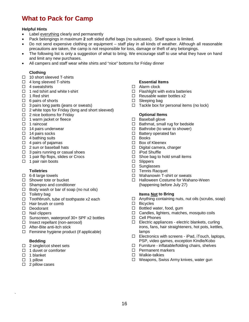# **What to Pack for Camp**

#### **Helpful Hints**

- Label everything clearly and permanently
- Pack belongings in maximum **2** soft sided duffel bags (no suitcases). Shelf space is limited.
- Do not send expensive clothing or equipment staff play in all kinds of weather. Although all reasonable precautions are taken, the camp is not responsible for loss, damage or theft of any belongings.
- The following list is only a suggestion of what to bring. We encourage staff to use what they have on hand and limit any new purchases.
- All campers and staff wear white shirts and "nice" bottoms for Friday dinner

#### **Clothing**

- $\Box$  10 short sleeved T-shirts
- $\Box$  4 long sleeved T-shirts
- $\Box$  4 sweatshirts
- $\Box$  1 red tshirt and white t-shirt
- $\Box$  1 Red shirt
- $\Box$  6 pairs of shorts
- $\Box$  3 pairs long pants (jeans or sweats)
- $\Box$  2 white tops for Friday (long and short sleeved)
- $\Box$  2 nice bottoms for Fridav
- $\Box$  1 warm jacket or fleece
- $\Box$  1 raincoat
- $\Box$  14 pairs underwear
- $\Box$  14 pairs socks
- $\Box$  4 bathing suits
- $\Box$  4 pairs of pajamas
- $\Box$  2 sun or baseball hats
- $\Box$  3 pairs running or casual shoes
- $\Box$  1 pair flip flops, slides or Crocs
- $\Box$  1 pair rain boots

#### **Toiletries**

- $\Box$  6-8 large towels
- $\Box$  Shower tote or bucket
- $\Box$  Shampoo and conditioner
- $\Box$  Body wash or bar of soap (no nut oils)
- $\Box$  Toiletry bag
- $\Box$  Toothbrush, tube of toothpaste x2 each
- $\Box$  Hair brush or comb
- Deodorant
- $\Box$  Nail clippers
- $\Box$  Sunscreen, waterproof 30+ SPF x2 bottles
- $\Box$  Insect repellant (non-aerosol)
- □ After-Bite anti-itch stick
- $\Box$  Feminine hygiene product (if applicable)

#### **Bedding**

- $\Box$  2 single/cot sheet sets
- $\Box$  1 duvet or comforter
- $\Box$  1 blanket
- $\Box$  1 pillow

.

 $\Box$  2 pillow cases

### **Essential Items**

- □ Alarm clock
- $\Box$  Flashlight with extra batteries
- $\Box$  Reusable water bottles x2
- $\square$  Sleeping bag
- $\Box$  Tackle box for personal items (no lock)

#### **Optional Items**

- $\square$  Baseball glove
- $\Box$  Bathmat, small rug for bedside
- $\Box$  Bathrobe (to wear to shower)
- $\square$  Battery operated fan
- □ Books
- □ Box of Kleenex
- Digital camera, charger
- □ iPod Shuffle
- $\Box$  Shoe bag to hold small items
- □ Slippers
- □ Sunglasses
- $\Box$  Tennis Racquet
- □ Wahanowin T-shirt or sweats
- □ Halloween Costume for Wahano-Ween (happening before July 27)

#### **Items Not to Bring**

- $\Box$  Anything containing nuts, nut oils (scrubs, soap)<br> $\Box$  Bicycles
- $\square$  Bicycles<br> $\square$  Bottled w
- Bottled water, food, gum
- $\Box$  Candles, lighters, matches, mosquito coils
- □ Cell Phones
- $\Box$  Electric appliances electric blankets, curling irons, fans, hair straighteners, hot pots, kettles, lamps
- $\Box$  Electronics with screens iPad, iTouch, laptops, PSP, video games, exception Kindle/Kobo
- □ Furniture inflatable/folding chairs, shelves
- $\Box$  Permanent markers
- □ Walkie-talkies
- □ Weapons, Swiss Army knives, water gun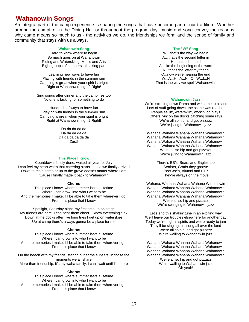### **Wahanowin Songs**

An integral part of the camp experience is sharing the songs that have become part of our tradition. Whether around the campfire, in the Dining Hall or throughout the program day, music and song convey the reasons why camp means so much to us - the activities we do, the friendships we form and the sense of family and community that stays with us always.

#### **Wahanowin Song**

Hard to know where to begin So much goes on at Wahanowin Riding and Waterskiing, Music and Arts Eight groups of campers, all taking part

Learning new ways to have fun Playing with friends in the summer sun Camping is great when your spirit is bright Right at Wahanowin, right? Right!

Sing songs after dinner and the campfires too No one is lacking for something to do

Hundreds of ways to have fun Playing with friends in the summer sun Camping is great when your spirit is bright Right at Wahanowin, right? Right!

> Da da da da da Da da da da da Da da da da da da Zest!

#### **This Place I Know**

Countdown, finally done, waited all year for July I can feel my heart when that cheering starts 'cause we finally arrived Down to main camp or up to the grove doesn't matter where I am 'Cause I finally made it back to Wahanowin

#### **Chorus**

This place I know, where summer lasts a lifetime Where I can grow, into who I want to be And the memories I make, I'll be able to take them wherever I go, From this place that I know

Spotlight, Saturday night, my first time up on stage My friends are here, I can hear them cheer, I know everything's ok Down at the docks after five long tries I get up on waterskies Up at camp there's always gonna be a place for me

#### **Chorus**

This place I know, where summer lasts a lifetime Where I can grow, into who I want to be And the memories I make. I'll be able to take them wherever I go, From this place that I know

On the beach with my friends, staring out at the sunsets, in those the moments we all share More than friendship, it's my waha family, I can't wait until I'm there

#### **Chorus**

This place I know, where summer lasts a lifetime Where I can grow, into who I want to be And the memories I make, I'll be able to take them wherever I go, From this place that I know

#### **The "W" Song**

W…that's the way we begin A…that's the second letter in H that is the third A...like the beginning of the word N...that's the letter my friend O...now we're nearing the end W...A...H...A...N...O...W...I...N That is the way we spell Wahanowin!

#### **Wahanowin Jazz**

We're strutting down Rama and we came to a spot Lots of stuff going down, the scene was real hot People sailin', waterskiin', workin' on plays Others lyin' on the docks catching some rays We're all so hip, and got pizzazz We're jiving to Wahanowin jazz

Wahana Wahana Wahana Wahana Wahanowin Wahana Wahana Wahana Wahana Wahanowin Wahana Wahana Wahana Wahana Wahanowin Wahana Wahana Wahana Wahana Wahanowin We're all so hip and got pizzazz We're jiving to Wahanowin jazz

> There's BB's, Bears and Eagles too Seniors, Grads they groove PeeGee's, Alumni and LTP They're always on the move

Wahana, Wahana Wahana Wahana Wahanowin Wahana Wahana Wahana Wahana Wahanowin Wahana Wahana Wahana Wahana Wahanowin Wahana Wahana Wahana Wahana Wahanowin We're all so hip and pizzazz We're swinging to Wahanowin jazz

Let's end this shakin' tune in an exciting way We'll leave our troubles elsewhere for another day Today we're high in spirits and we're ready to jam They'll be singing this song all over the land We're all so hip, and got pizzazz We're wailing to Wahanowin jazz

Wahana Wahana Wahana Wahana Wahanowin Wahana Wahana Wahana Wahana Wahanowin Wahana Wahana Wahana Wahana Wahanowin Wahana Wahana Wahana Wahana Wahanowin We're all so hip and got pizzazz We're wailing to Wahanowin jazz Oh yeah!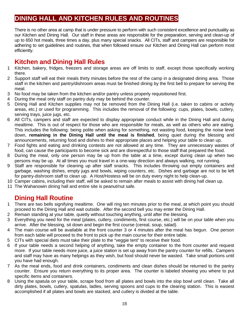# **DINING HALL AND KITCHEN RULES AND ROUTINES**

There is no other area at camp that is under pressure to perform with such consistent excellence and punctuality as our Kitchen and Dining Hall. Our staff in these areas are responsible for the preparation, serving and clean-up of up to 650 hot meals, three times a day, plus many special snacks. All CITs, staff and campers are responsible for adhering to set guidelines and routines, that when followed ensure our Kitchen and Dining Hall can perform most efficiently.

# **Kitchen and Dining Hall Rules**

- 1 Kitchen, bakery, fridges, freezers and storage areas are off limits to staff, except those specifically working there.
- 2 Support staff will eat their meals thirty minutes before the rest of the camp in a designated dining area. Those staff in the kitchen and pantry/dishroom areas must be finished dining by the first bell to prepare for serving the meal.
- 3 No food may be taken from the kitchen and/or pantry unless properly requisitioned first.
- 4 During the meal only staff on pantry duty may be behind the counter.
- 5 Dining Hall and Kitchen supplies may not be removed from the Dining Hall (i.e. taken to cabins or activity areas, etc.) or used for programming. This includes the removal of the following: cups, plates, bowls, cutlery, serving trays, juice jugs, etc.
- 6 All CITs, campers and staff are expected to display appropriate conduct while in the Dining Hall and during mealtime. This is out of respect for those who are responsible for meals, as well as others who are eating. This includes the following: being polite when asking for something, not wasting food, keeping the noise level down, **remaining in the Dining Hall until the meal is finished**, being quiet during the blessing and announcements, returning food and dishes to their appropriate places and helping your table to clean up.
- 7 Food fights and eating and drinking contests are not allowed at any time. They are unnecessary wastes of food, can cause the participants to become sick and are disrespectful to those staff that prepared the food.
- 8 During the meal, only one person may be up from the table at a time, except during clean up when two persons may be up. At all times you must travel in a one-way direction and always walking, not running.
- 9 Staff are responsible for cleaning up after staff snacks. This includes throwing out empty containers and garbage, washing dishes, empty jugs and bowls, wiping counters, etc. Dishes and garbage are not to be left for pantry-dishroom staff to clean up. A Host/Hostess will be on duty every night to help clean-up.
- 10 Camper cabins, including their staff, will be asked to remain after meals to assist with dining hall clean up.
- 11 The Wahanowin dining hall and entire site is peanut/nut safe.

# **Dining Hall Routine**

- 1 There are two bells signifying mealtime. One will ring ten minutes prior to the meal, at which point you should proceed to the Dining Hall and wait outside. After the second bell you may enter the Dining Hall.
- 2 Remain standing at your table, quietly without touching anything, until after the blessing.
- 3 Everything you need for the meal (plates, cutlery, condiments, first course, etc.) will be on your table when you arrive. After the blessing, sit down and begin the first course (cereal, soup, salad).
- 4 The main course will be available at the front counter 3 or 4 minutes after the meal has begun. One person from each table will proceed to the front to pick up the main course for their entire table.
- 5 CITs with special diets must take their plate to the "veggie tent" to receive their food.
- 6 If your table needs a second helping of anything, take the empty container to the front counter and request more. If your table needs more juice, a juice station is set up away from the pantry counter for refills. Campers and staff may have as many helpings as they wish, but food should never be wasted. Take small portions until you have had enough.
- 7 As the meal ends, food and drink containers, condiments and clean dishes should be returned to the pantry counter. Ensure you return everything to its proper area. The counter is labeled showing you where to put specific items and containers.
- 8 Using the spatula on your table, scrape food from all plates and bowls into the slop bowl until clean. Take all dirty plates, bowls, cutlery, spatulas, ladles, serving spoons and cups to the clearing station. This is easiest accomplished if all plates and bowls are stacked, and cutlery is divided at the table.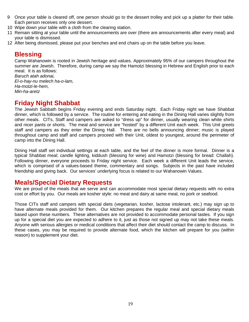- 9 Once your table is cleared off, one person should go to the dessert trolley and pick up a platter for their table. Each person receives only one dessert.
- 10 Wipe down your table with a cloth from the clearing station.
- 11 Remain sitting at your table until the announcements are over (there are announcements after every meal) and your table is dismissed.
- 12 After being dismissed, please put your benches and end chairs up on the table before you leave.

### **Blessing**

Camp Wahanowin is rooted in Jewish heritage and values. Approximately 95% of our campers throughout the summer are Jewish. Therefore, during camp we say the Hamotzi blessing in Hebrew and English prior to each meal. It is as follows:

*Baruch atah adonai, El-o-hay-nu melech ha-o-lam, Ha-motzi-le-hem, Min-ha-aretz* 

# **Friday Night Shabbat**

The Jewish Sabbath begins Friday evening and ends Saturday night. Each Friday night we have Shabbat dinner, which is followed by a service. The routine for entering and eating in the Dining Hall varies slightly from other meals. CITs, Staff and campers are asked to "dress up" for dinner, usually wearing clean white shirts and nicer pants or shorts. The meal and service are "hosted" by a different Unit each week. This Unit greets staff and campers as they enter the Dining Hall. There are no bells announcing dinner; music is played throughout camp and staff and campers proceed with their Unit, oldest to youngest, around the perimeter of camp into the Dining Hall.

Dining Hall staff set individual settings at each table, and the feel of the dinner is more formal. Dinner is a typical Shabbat meal; candle lighting, kiddush (blessing for wine) and Hamotzi (blessing for bread: Challah). Following dinner, everyone proceeds to Friday night service. Each week a different Unit leads the service, which is comprised of a values-based theme, commentary and songs. Subjects in the past have included friendship and giving back. Our services' underlying focus is related to our Wahanowin Values.

### **Meals/Special Dietary Requests**

We are proud of the meals that we serve and can accommodate most special dietary requests with no extra cost or effort by you. Our meals are kosher style: no meat and dairy at same meal, no pork or seafood.

Those CITs staff and campers with special diets (vegetarian, kosher, lactose intolerant, etc.) may sign up to have alternate meals provided for them. Our kitchen prepares the regular meal and special dietary meals based upon these numbers. These alternatives are not provided to accommodate personal tastes. If you sign up for a special diet you are expected to adhere to it, just as those not signed up may not take these meals. Anyone with serious allergies or medical conditions that affect their diet should contact the camp to discuss. In these cases, you may be required to provide alternate food, which the kitchen will prepare for you (within reason) to supplement your diet.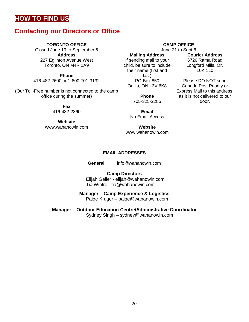# **HOW TO FIND US**

# **Contacting our Directors or Office**

### **TORONTO OFFICE**

Closed June 19 to September 6 **Address** 227 Eglinton Avenue West Toronto, ON M4R 1A9

**Phone** 416-482-2600 or 1-800-701-3132

(Our Toll-Free number is not connected to the camp office during the summer)

> **Fax** 416-482-2860

**Website** www.wahanowin.com

**Mailing Address** If sending mail to your child, be sure to include their name (first and last) PO Box 850 Orillia, ON L3V 6K8

> **Phone** 705-325-2285

**Email** No Email Access

**Website** [www.wahanowin.com](http://www.wahanowin.com/)

**CAMP OFFICE**

June 21 to Sept 6 **Courier Address**

6726 Rama Road Longford Mills, ON L0K 1L0

Please DO NOT send Canada Post Priority or Express Mail to this address, as it is not delivered to our door.

### **EMAIL ADDRESSES**

**General** [info@wahanowin.com](mailto:info@wahanowin.com)

**Camp Directors**  Elijah Geller - [elijah@wahanowin.com](mailto:elijah@wahanowin.com) Tia Wintre - [tia@wahanowin.com](mailto:tia@wahanowin.com)

**Manager – Camp Experience & Logistics**

Paige Kruger – paige@wahanowin.com

**Manager – Outdoor Education Centre/Administrative Coordinator** Sydney Singh – sydney@wahanowin.com